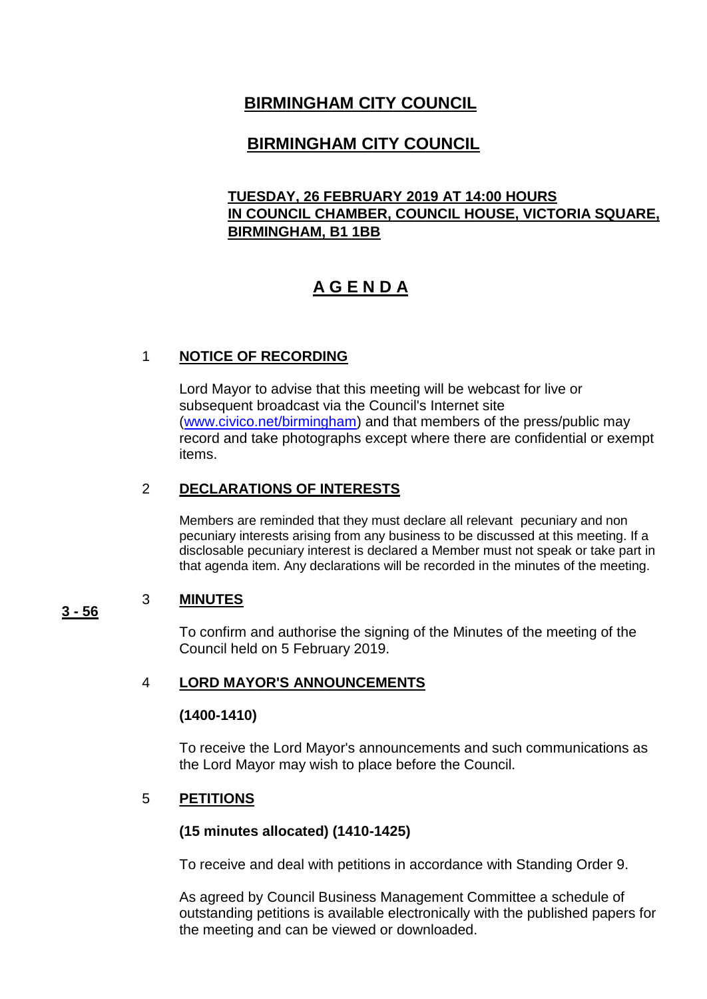# **BIRMINGHAM CITY COUNCIL**

# **BIRMINGHAM CITY COUNCIL**

### **TUESDAY, 26 FEBRUARY 2019 AT 14:00 HOURS IN COUNCIL CHAMBER, COUNCIL HOUSE, VICTORIA SQUARE, BIRMINGHAM, B1 1BB**

# **A G E N D A**

### 1 **NOTICE OF RECORDING**

Lord Mayor to advise that this meeting will be webcast for live or subsequent broadcast via the Council's Internet site [\(www.civico.net/birmingham\)](http://www.civico.net/birmingham) and that members of the press/public may record and take photographs except where there are confidential or exempt items.

### 2 **DECLARATIONS OF INTERESTS**

Members are reminded that they must declare all relevant pecuniary and non pecuniary interests arising from any business to be discussed at this meeting. If a disclosable pecuniary interest is declared a Member must not speak or take part in that agenda item. Any declarations will be recorded in the minutes of the meeting.

#### **3 - 56** 3 **MINUTES**

To confirm and authorise the signing of the Minutes of the meeting of the Council held on 5 February 2019.

### 4 **LORD MAYOR'S ANNOUNCEMENTS**

### **(1400-1410)**

To receive the Lord Mayor's announcements and such communications as the Lord Mayor may wish to place before the Council.

### 5 **PETITIONS**

### **(15 minutes allocated) (1410-1425)**

To receive and deal with petitions in accordance with Standing Order 9.

As agreed by Council Business Management Committee a schedule of outstanding petitions is available electronically with the published papers for the meeting and can be viewed or downloaded.